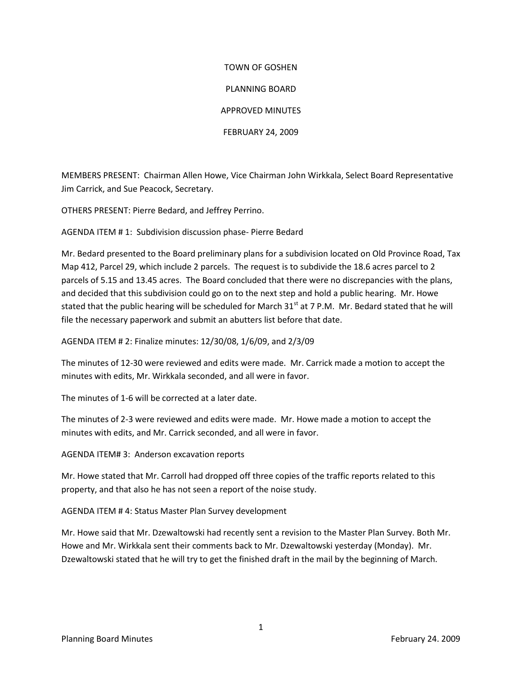## TOWN OF GOSHEN PLANNING BOARD APPROVED MINUTES FEBRUARY 24, 2009

MEMBERS PRESENT: Chairman Allen Howe, Vice Chairman John Wirkkala, Select Board Representative Jim Carrick, and Sue Peacock, Secretary.

OTHERS PRESENT: Pierre Bedard, and Jeffrey Perrino.

AGENDA ITEM # 1: Subdivision discussion phase- Pierre Bedard

Mr. Bedard presented to the Board preliminary plans for a subdivision located on Old Province Road, Tax Map 412, Parcel 29, which include 2 parcels. The request is to subdivide the 18.6 acres parcel to 2 parcels of 5.15 and 13.45 acres. The Board concluded that there were no discrepancies with the plans, and decided that this subdivision could go on to the next step and hold a public hearing. Mr. Howe stated that the public hearing will be scheduled for March  $31<sup>st</sup>$  at 7 P.M. Mr. Bedard stated that he will file the necessary paperwork and submit an abutters list before that date.

AGENDA ITEM # 2: Finalize minutes: 12/30/08, 1/6/09, and 2/3/09

The minutes of 12-30 were reviewed and edits were made. Mr. Carrick made a motion to accept the minutes with edits, Mr. Wirkkala seconded, and all were in favor.

The minutes of 1-6 will be corrected at a later date.

The minutes of 2-3 were reviewed and edits were made. Mr. Howe made a motion to accept the minutes with edits, and Mr. Carrick seconded, and all were in favor.

AGENDA ITEM# 3: Anderson excavation reports

Mr. Howe stated that Mr. Carroll had dropped off three copies of the traffic reports related to this property, and that also he has not seen a report of the noise study.

AGENDA ITEM # 4: Status Master Plan Survey development

Mr. Howe said that Mr. Dzewaltowski had recently sent a revision to the Master Plan Survey. Both Mr. Howe and Mr. Wirkkala sent their comments back to Mr. Dzewaltowski yesterday (Monday). Mr. Dzewaltowski stated that he will try to get the finished draft in the mail by the beginning of March.